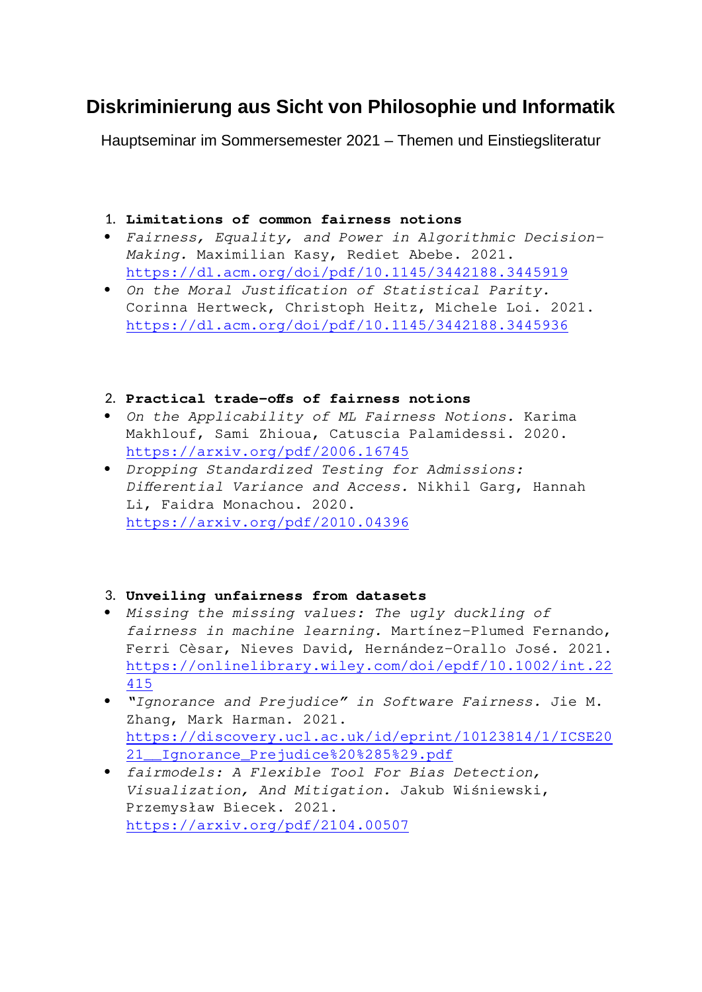# **Diskriminierung aus Sicht von Philosophie und Informatik**

Hauptseminar im Sommersemester 2021 – Themen und Einstiegsliteratur

### 1. **Limitations of common fairness notions**

- *Fairness, Equality, and Power in Algorithmic Decision-Making.* Maximilian Kasy, Rediet Abebe. 2021. <https://dl.acm.org/doi/pdf/10.1145/3442188.3445919>
- *On the Moral Justification of Statistical Parity.* Corinna Hertweck, Christoph Heitz, Michele Loi. 2021. <https://dl.acm.org/doi/pdf/10.1145/3442188.3445936>

#### 2. **Practical trade-offs of fairness notions**

- *On the Applicability of ML Fairness Notions.* Karima Makhlouf, Sami Zhioua, Catuscia Palamidessi. 2020. <https://arxiv.org/pdf/2006.16745>
- *Dropping Standardized Testing for Admissions: Differential Variance and Access.* Nikhil Garg, Hannah Li, Faidra Monachou. 2020. <https://arxiv.org/pdf/2010.04396>

#### 3. **Unveiling unfairness from datasets**

- *Missing the missing values: The ugly duckling of fairness in machine learning.* Martínez-Plumed Fernando, Ferri Cèsar, Nieves David, Hernández-Orallo José. 2021. [https://onlinelibrary.wiley.com/doi/epdf/10.1002/int.22](https://onlinelibrary.wiley.com/doi/epdf/10.1002/int.22415) [415](https://onlinelibrary.wiley.com/doi/epdf/10.1002/int.22415)
- *"Ignorance and Prejudice" in Software Fairness.* Jie M. Zhang, Mark Harman. 2021. [https://discovery.ucl.ac.uk/id/eprint/10123814/1/ICSE20](https://discovery.ucl.ac.uk/id/eprint/10123814/1/ICSE2021__Ignorance_Prejudice%20(5).pdf) [21\\_\\_Ignorance\\_Prejudice%20%285%29.pdf](https://discovery.ucl.ac.uk/id/eprint/10123814/1/ICSE2021__Ignorance_Prejudice%20(5).pdf)
- *fairmodels: A Flexible Tool For Bias Detection, Visualization, And Mitigation.* Jakub Wiśniewski, Przemysław Biecek. 2021. <https://arxiv.org/pdf/2104.00507>